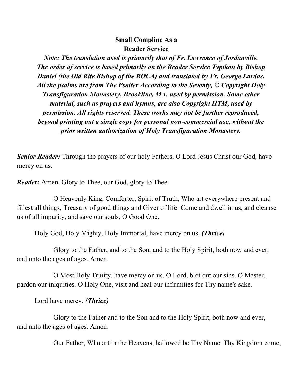#### **Small Compline As a Reader Service**

*Note: The translation used is primarily that of Fr. Lawrence of Jordanville. The order of service is based primarily on the Reader Service Typikon by Bishop Daniel (the Old Rite Bishop of the ROCA) and translated by Fr. George Lardas. All the psalms are from The Psalter According to the Seventy, © Copyright Holy Transfiguration Monastery, Brookline, MA, used by permission. Some other material, such as prayers and hymns, are also Copyright HTM, used by permission. All rights reserved. These works may not be further reproduced, beyond printing out a single copy for personal non-commercial use, without the prior written authorization of Holy Transfiguration Monastery.* 

*Senior Reader:* Through the prayers of our holy Fathers, O Lord Jesus Christ our God, have mercy on us.

*Reader:* Amen. Glory to Thee, our God, glory to Thee.

O Heavenly King, Comforter, Spirit of Truth, Who art everywhere present and fillest all things, Treasury of good things and Giver of life: Come and dwell in us, and cleanse us of all impurity, and save our souls, O Good One.

Holy God, Holy Mighty, Holy Immortal, have mercy on us. *(Thrice)* 

Glory to the Father, and to the Son, and to the Holy Spirit, both now and ever, and unto the ages of ages. Amen.

O Most Holy Trinity, have mercy on us. O Lord, blot out our sins. O Master, pardon our iniquities. O Holy One, visit and heal our infirmities for Thy name's sake.

Lord have mercy. *(Thrice)* 

Glory to the Father and to the Son and to the Holy Spirit, both now and ever, and unto the ages of ages. Amen.

Our Father, Who art in the Heavens, hallowed be Thy Name. Thy Kingdom come,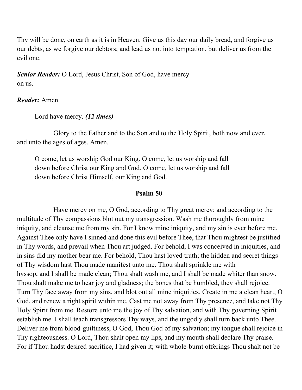Thy will be done, on earth as it is in Heaven. Give us this day our daily bread, and forgive us our debts, as we forgive our debtors; and lead us not into temptation, but deliver us from the evil one.

*Senior Reader: O Lord, Jesus Christ, Son of God, have mercy* on us.

#### *Reader:* Amen.

Lord have mercy. *(12 times)* 

Glory to the Father and to the Son and to the Holy Spirit, both now and ever, and unto the ages of ages. Amen.

O come, let us worship God our King. O come, let us worship and fall down before Christ our King and God. O come, let us worship and fall down before Christ Himself, our King and God.

#### **Psalm 50**

Have mercy on me, O God, according to Thy great mercy; and according to the multitude of Thy compassions blot out my transgression. Wash me thoroughly from mine iniquity, and cleanse me from my sin. For I know mine iniquity, and my sin is ever before me. Against Thee only have I sinned and done this evil before Thee, that Thou mightest be justified in Thy words, and prevail when Thou art judged. For behold, I was conceived in iniquities, and in sins did my mother bear me. For behold, Thou hast loved truth; the hidden and secret things of Thy wisdom hast Thou made manifest unto me. Thou shalt sprinkle me with hyssop, and I shall be made clean; Thou shalt wash me, and I shall be made whiter than snow. Thou shalt make me to hear joy and gladness; the bones that be humbled, they shall rejoice. Turn Thy face away from my sins, and blot out all mine iniquities. Create in me a clean heart, O God, and renew a right spirit within me. Cast me not away from Thy presence, and take not Thy Holy Spirit from me. Restore unto me the joy of Thy salvation, and with Thy governing Spirit establish me. I shall teach transgressors Thy ways, and the ungodly shall turn back unto Thee. Deliver me from blood-guiltiness, O God, Thou God of my salvation; my tongue shall rejoice in Thy righteousness. O Lord, Thou shalt open my lips, and my mouth shall declare Thy praise. For if Thou hadst desired sacrifice, I had given it; with whole-burnt offerings Thou shalt not be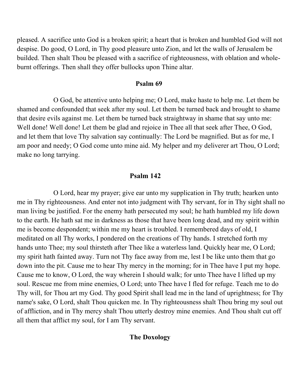pleased. A sacrifice unto God is a broken spirit; a heart that is broken and humbled God will not despise. Do good, O Lord, in Thy good pleasure unto Zion, and let the walls of Jerusalem be builded. Then shalt Thou be pleased with a sacrifice of righteousness, with oblation and wholeburnt offerings. Then shall they offer bullocks upon Thine altar.

#### **Psalm 69**

O God, be attentive unto helping me; O Lord, make haste to help me. Let them be shamed and confounded that seek after my soul. Let them be turned back and brought to shame that desire evils against me. Let them be turned back straightway in shame that say unto me: Well done! Well done! Let them be glad and rejoice in Thee all that seek after Thee, O God, and let them that love Thy salvation say continually: The Lord be magnified. But as for me, I am poor and needy; O God come unto mine aid. My helper and my deliverer art Thou, O Lord; make no long tarrying.

#### **Psalm 142**

O Lord, hear my prayer; give ear unto my supplication in Thy truth; hearken unto me in Thy righteousness. And enter not into judgment with Thy servant, for in Thy sight shall no man living be justified. For the enemy hath persecuted my soul; he hath humbled my life down to the earth. He hath sat me in darkness as those that have been long dead, and my spirit within me is become despondent; within me my heart is troubled. I remembered days of old, I meditated on all Thy works, I pondered on the creations of Thy hands. I stretched forth my hands unto Thee; my soul thirsteth after Thee like a waterless land. Quickly hear me, O Lord; my spirit hath fainted away. Turn not Thy face away from me, lest I be like unto them that go down into the pit. Cause me to hear Thy mercy in the morning; for in Thee have I put my hope. Cause me to know, O Lord, the way wherein I should walk; for unto Thee have I lifted up my soul. Rescue me from mine enemies, O Lord; unto Thee have I fled for refuge. Teach me to do Thy will, for Thou art my God. Thy good Spirit shall lead me in the land of uprightness; for Thy name's sake, O Lord, shalt Thou quicken me. In Thy righteousness shalt Thou bring my soul out of affliction, and in Thy mercy shalt Thou utterly destroy mine enemies. And Thou shalt cut off all them that afflict my soul, for I am Thy servant.

#### **The Doxology**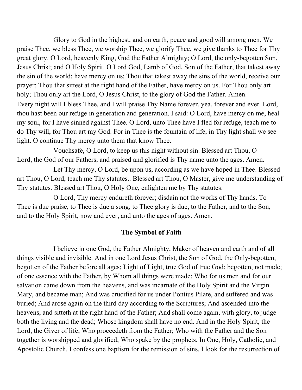Glory to God in the highest, and on earth, peace and good will among men. We praise Thee, we bless Thee, we worship Thee, we glorify Thee, we give thanks to Thee for Thy great glory. O Lord, heavenly King, God the Father Almighty; O Lord, the only-begotten Son, Jesus Christ; and O Holy Spirit. O Lord God, Lamb of God, Son of the Father, that takest away the sin of the world; have mercy on us; Thou that takest away the sins of the world, receive our prayer; Thou that sittest at the right hand of the Father, have mercy on us. For Thou only art holy; Thou only art the Lord, O Jesus Christ, to the glory of God the Father. Amen. Every night will I bless Thee, and I will praise Thy Name forever, yea, forever and ever. Lord, thou hast been our refuge in generation and generation. I said: O Lord, have mercy on me, heal my soul, for I have sinned against Thee. O Lord, unto Thee have I fled for refuge, teach me to do Thy will, for Thou art my God. For in Thee is the fountain of life, in Thy light shall we see light. O continue Thy mercy unto them that know Thee.

Vouchsafe, O Lord, to keep us this night without sin. Blessed art Thou, O Lord, the God of our Fathers, and praised and glorified is Thy name unto the ages. Amen.

Let Thy mercy, O Lord, be upon us, according as we have hoped in Thee. Blessed art Thou, O Lord, teach me Thy statutes.. Blessed art Thou, O Master, give me understanding of Thy statutes. Blessed art Thou, O Holy One, enlighten me by Thy statutes.

O Lord, Thy mercy endureth forever; disdain not the works of Thy hands. To Thee is due praise, to Thee is due a song, to Thee glory is due, to the Father, and to the Son, and to the Holy Spirit, now and ever, and unto the ages of ages. Amen.

#### **The Symbol of Faith**

I believe in one God, the Father Almighty, Maker of heaven and earth and of all things visible and invisible. And in one Lord Jesus Christ, the Son of God, the Only-begotten, begotten of the Father before all ages; Light of Light, true God of true God; begotten, not made; of one essence with the Father, by Whom all things were made; Who for us men and for our salvation came down from the heavens, and was incarnate of the Holy Spirit and the Virgin Mary, and became man; And was crucified for us under Pontius Pilate, and suffered and was buried; And arose again on the third day according to the Scriptures; And ascended into the heavens, and sitteth at the right hand of the Father; And shall come again, with glory, to judge both the living and the dead; Whose kingdom shall have no end. And in the Holy Spirit, the Lord, the Giver of life; Who proceedeth from the Father; Who with the Father and the Son together is worshipped and glorified; Who spake by the prophets. In One, Holy, Catholic, and Apostolic Church. I confess one baptism for the remission of sins. I look for the resurrection of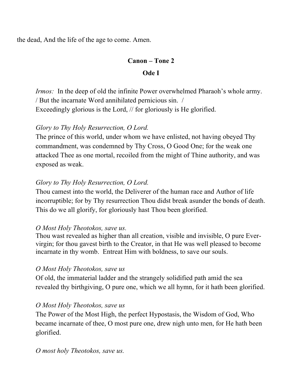the dead, And the life of the age to come. Amen.

# **Canon – Tone 2 Ode I**

*Irmos:* In the deep of old the infinite Power overwhelmed Pharaoh's whole army. / But the incarnate Word annihilated pernicious sin. / Exceedingly glorious is the Lord, // for gloriously is He glorified.

### *Glory to Thy Holy Resurrection, O Lord.*

The prince of this world, under whom we have enlisted, not having obeyed Thy commandment, was condemned by Thy Cross, O Good One; for the weak one attacked Thee as one mortal, recoiled from the might of Thine authority, and was exposed as weak.

### *Glory to Thy Holy Resurrection, O Lord.*

Thou camest into the world, the Deliverer of the human race and Author of life incorruptible; for by Thy resurrection Thou didst break asunder the bonds of death. This do we all glorify, for gloriously hast Thou been glorified.

### *O Most Holy Theotokos, save us.*

Thou wast revealed as higher than all creation, visible and invisible, O pure Evervirgin; for thou gavest birth to the Creator, in that He was well pleased to become incarnate in thy womb. Entreat Him with boldness, to save our souls.

### *O Most Holy Theotokos, save us*

Of old, the immaterial ladder and the strangely solidified path amid the sea revealed thy birthgiving, O pure one, which we all hymn, for it hath been glorified.

### *O Most Holy Theotokos, save us*

The Power of the Most High, the perfect Hypostasis, the Wisdom of God, Who became incarnate of thee, O most pure one, drew nigh unto men, for He hath been glorified.

#### *O most holy Theotokos, save us.*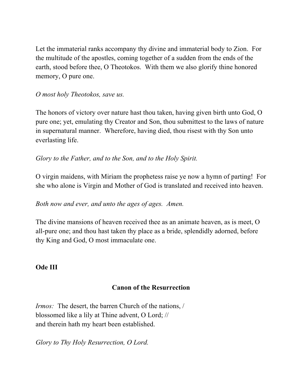Let the immaterial ranks accompany thy divine and immaterial body to Zion. For the multitude of the apostles, coming together of a sudden from the ends of the earth, stood before thee, O Theotokos. With them we also glorify thine honored memory, O pure one.

*O most holy Theotokos, save us.*

The honors of victory over nature hast thou taken, having given birth unto God, O pure one; yet, emulating thy Creator and Son, thou submittest to the laws of nature in supernatural manner. Wherefore, having died, thou risest with thy Son unto everlasting life.

*Glory to the Father, and to the Son, and to the Holy Spirit.*

O virgin maidens, with Miriam the prophetess raise ye now a hymn of parting! For she who alone is Virgin and Mother of God is translated and received into heaven.

#### *Both now and ever, and unto the ages of ages. Amen.*

The divine mansions of heaven received thee as an animate heaven, as is meet, O all-pure one; and thou hast taken thy place as a bride, splendidly adorned, before thy King and God, O most immaculate one.

#### **Ode III**

#### **Canon of the Resurrection**

*Irmos:* The desert, the barren Church of the nations, / blossomed like a lily at Thine advent, O Lord; // and therein hath my heart been established.

*Glory to Thy Holy Resurrection, O Lord.*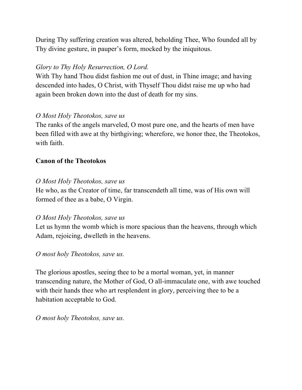During Thy suffering creation was altered, beholding Thee, Who founded all by Thy divine gesture, in pauper's form, mocked by the iniquitous.

#### *Glory to Thy Holy Resurrection, O Lord.*

With Thy hand Thou didst fashion me out of dust, in Thine image; and having descended into hades, O Christ, with Thyself Thou didst raise me up who had again been broken down into the dust of death for my sins.

#### *O Most Holy Theotokos, save us*

The ranks of the angels marveled, O most pure one, and the hearts of men have been filled with awe at thy birthgiving; wherefore, we honor thee, the Theotokos, with faith.

#### **Canon of the Theotokos**

#### *O Most Holy Theotokos, save us*

He who, as the Creator of time, far transcendeth all time, was of His own will formed of thee as a babe, O Virgin.

#### *O Most Holy Theotokos, save us*

Let us hymn the womb which is more spacious than the heavens, through which Adam, rejoicing, dwelleth in the heavens.

#### *O most holy Theotokos, save us.*

The glorious apostles, seeing thee to be a mortal woman, yet, in manner transcending nature, the Mother of God, O all-immaculate one, with awe touched with their hands thee who art resplendent in glory, perceiving thee to be a habitation acceptable to God.

*O most holy Theotokos, save us.*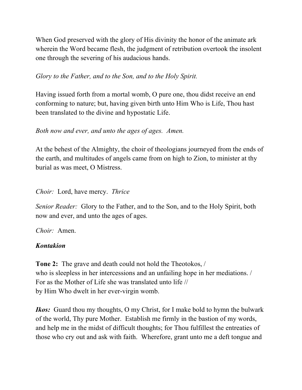When God preserved with the glory of His divinity the honor of the animate ark wherein the Word became flesh, the judgment of retribution overtook the insolent one through the severing of his audacious hands.

*Glory to the Father, and to the Son, and to the Holy Spirit.*

Having issued forth from a mortal womb, O pure one, thou didst receive an end conforming to nature; but, having given birth unto Him Who is Life, Thou hast been translated to the divine and hypostatic Life.

*Both now and ever, and unto the ages of ages. Amen.*

At the behest of the Almighty, the choir of theologians journeyed from the ends of the earth, and multitudes of angels came from on high to Zion, to minister at thy burial as was meet, O Mistress.

*Choir:* Lord, have mercy. *Thrice*

*Senior Reader:* Glory to the Father, and to the Son, and to the Holy Spirit, both now and ever, and unto the ages of ages.

*Choir:* Amen.

### *Kontakion*

**Tone 2:** The grave and death could not hold the Theotokos, / who is sleepless in her intercessions and an unfailing hope in her mediations. / For as the Mother of Life she was translated unto life // by Him Who dwelt in her ever-virgin womb.

*Ikos:* Guard thou my thoughts, O my Christ, for I make bold to hymn the bulwark of the world, Thy pure Mother. Establish me firmly in the bastion of my words, and help me in the midst of difficult thoughts; for Thou fulfillest the entreaties of those who cry out and ask with faith. Wherefore, grant unto me a deft tongue and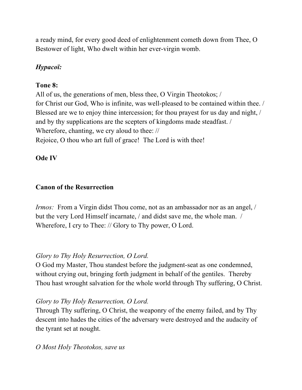a ready mind, for every good deed of enlightenment cometh down from Thee, O Bestower of light, Who dwelt within her ever-virgin womb.

# *Hypacoï:*

#### **Tone 8:**

All of us, the generations of men, bless thee, O Virgin Theotokos; / for Christ our God, Who is infinite, was well-pleased to be contained within thee. / Blessed are we to enjoy thine intercession; for thou prayest for us day and night, / and by thy supplications are the scepters of kingdoms made steadfast. / Wherefore, chanting, we cry aloud to thee: // Rejoice, O thou who art full of grace! The Lord is with thee!

#### **Ode IV**

#### **Canon of the Resurrection**

*Irmos:* From a Virgin didst Thou come, not as an ambassador nor as an angel, / but the very Lord Himself incarnate, / and didst save me, the whole man. / Wherefore, I cry to Thee: // Glory to Thy power, O Lord.

#### *Glory to Thy Holy Resurrection, O Lord.*

O God my Master, Thou standest before the judgment-seat as one condemned, without crying out, bringing forth judgment in behalf of the gentiles. Thereby Thou hast wrought salvation for the whole world through Thy suffering, O Christ.

### *Glory to Thy Holy Resurrection, O Lord.*

Through Thy suffering, O Christ, the weaponry of the enemy failed, and by Thy descent into hades the cities of the adversary were destroyed and the audacity of the tyrant set at nought.

#### *O Most Holy Theotokos, save us*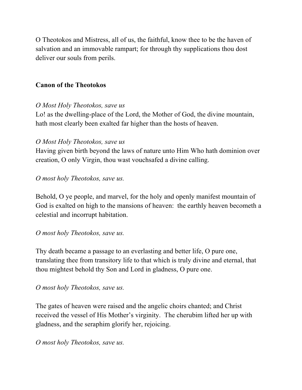O Theotokos and Mistress, all of us, the faithful, know thee to be the haven of salvation and an immovable rampart; for through thy supplications thou dost deliver our souls from perils.

### **Canon of the Theotokos**

### *O Most Holy Theotokos, save us*

Lo! as the dwelling-place of the Lord, the Mother of God, the divine mountain, hath most clearly been exalted far higher than the hosts of heaven.

#### *O Most Holy Theotokos, save us*

Having given birth beyond the laws of nature unto Him Who hath dominion over creation, O only Virgin, thou wast vouchsafed a divine calling.

*O most holy Theotokos, save us.*

Behold, O ye people, and marvel, for the holy and openly manifest mountain of God is exalted on high to the mansions of heaven: the earthly heaven becometh a celestial and incorrupt habitation.

#### *O most holy Theotokos, save us.*

Thy death became a passage to an everlasting and better life, O pure one, translating thee from transitory life to that which is truly divine and eternal, that thou mightest behold thy Son and Lord in gladness, O pure one.

#### *O most holy Theotokos, save us.*

The gates of heaven were raised and the angelic choirs chanted; and Christ received the vessel of His Mother's virginity. The cherubim lifted her up with gladness, and the seraphim glorify her, rejoicing.

*O most holy Theotokos, save us.*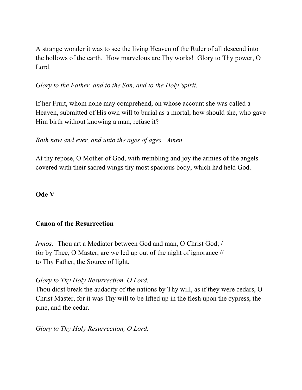A strange wonder it was to see the living Heaven of the Ruler of all descend into the hollows of the earth. How marvelous are Thy works! Glory to Thy power, O Lord.

*Glory to the Father, and to the Son, and to the Holy Spirit.*

If her Fruit, whom none may comprehend, on whose account she was called a Heaven, submitted of His own will to burial as a mortal, how should she, who gave Him birth without knowing a man, refuse it?

*Both now and ever, and unto the ages of ages. Amen.*

At thy repose, O Mother of God, with trembling and joy the armies of the angels covered with their sacred wings thy most spacious body, which had held God.

**Ode V**

### **Canon of the Resurrection**

*Irmos:* Thou art a Mediator between God and man, O Christ God; / for by Thee, O Master, are we led up out of the night of ignorance // to Thy Father, the Source of light.

#### *Glory to Thy Holy Resurrection, O Lord.*

Thou didst break the audacity of the nations by Thy will, as if they were cedars, O Christ Master, for it was Thy will to be lifted up in the flesh upon the cypress, the pine, and the cedar.

*Glory to Thy Holy Resurrection, O Lord.*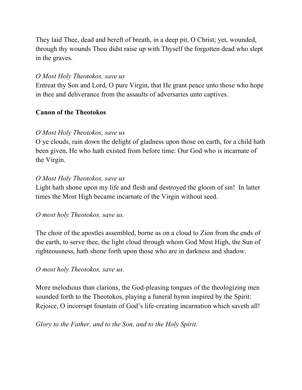They laid Thee, dead and bereft of breath, in a deep pit, O Christ; yet, wounded, through thy wounds Thou didst raise up with Thyself the forgotten dead who slept in the graves.

### *O Most Holy Theotokos, save us*

Entreat thy Son and Lord, O pure Virgin, that He grant peace unto those who hope in thee and deliverance from the assaults of adversaries unto captives.

### **Canon of the Theotokos**

#### *O Most Holy Theotokos, save us*

O ye clouds, rain down the delight of gladness upon those on earth, for a child hath been given, He who hath existed from before time: Our God who is incarnate of the Virgin.

#### *O Most Holy Theotokos, save us*

Light hath shone upon my life and flesh and destroyed the gloom of sin! In latter times the Most High became incarnate of the Virgin without seed.

*O most holy Theotokos, save us.*

The choir of the apostles assembled, borne as on a cloud to Zion from the ends of the earth, to serve thee, the light cloud through whom God Most High, the Sun of righteousness, hath shone forth upon those who are in darkness and shadow.

### *O most holy Theotokos, save us.*

More melodious than clarions, the God-pleasing tongues of the theologizing men sounded forth to the Theotokos, playing a funeral hymn inspired by the Spirit: Rejoice, O incorrupt fountain of God's life-creating incarnation which saveth all!

*Glory to the Father, and to the Son, and to the Holy Spirit.*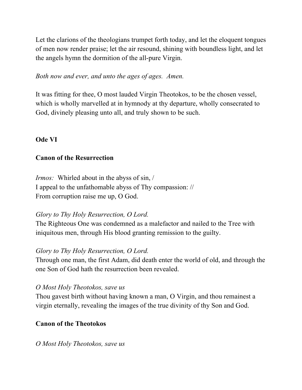Let the clarions of the theologians trumpet forth today, and let the eloquent tongues of men now render praise; let the air resound, shining with boundless light, and let the angels hymn the dormition of the all-pure Virgin.

*Both now and ever, and unto the ages of ages. Amen.*

It was fitting for thee, O most lauded Virgin Theotokos, to be the chosen vessel, which is wholly marvelled at in hymnody at thy departure, wholly consecrated to God, divinely pleasing unto all, and truly shown to be such.

### **Ode VI**

#### **Canon of the Resurrection**

*Irmos:* Whirled about in the abyss of sin, / I appeal to the unfathomable abyss of Thy compassion: // From corruption raise me up, O God.

*Glory to Thy Holy Resurrection, O Lord.*

The Righteous One was condemned as a malefactor and nailed to the Tree with iniquitous men, through His blood granting remission to the guilty.

#### *Glory to Thy Holy Resurrection, O Lord.*

Through one man, the first Adam, did death enter the world of old, and through the one Son of God hath the resurrection been revealed.

### *O Most Holy Theotokos, save us*

Thou gavest birth without having known a man, O Virgin, and thou remainest a virgin eternally, revealing the images of the true divinity of thy Son and God.

### **Canon of the Theotokos**

*O Most Holy Theotokos, save us*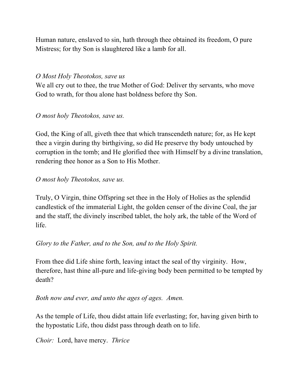Human nature, enslaved to sin, hath through thee obtained its freedom, O pure Mistress; for thy Son is slaughtered like a lamb for all.

#### *O Most Holy Theotokos, save us*

We all cry out to thee, the true Mother of God: Deliver thy servants, who move God to wrath, for thou alone hast boldness before thy Son.

#### *O most holy Theotokos, save us.*

God, the King of all, giveth thee that which transcendeth nature; for, as He kept thee a virgin during thy birthgiving, so did He preserve thy body untouched by corruption in the tomb; and He glorified thee with Himself by a divine translation, rendering thee honor as a Son to His Mother.

#### *O most holy Theotokos, save us.*

Truly, O Virgin, thine Offspring set thee in the Holy of Holies as the splendid candlestick of the immaterial Light, the golden censer of the divine Coal, the jar and the staff, the divinely inscribed tablet, the holy ark, the table of the Word of life.

#### *Glory to the Father, and to the Son, and to the Holy Spirit.*

From thee did Life shine forth, leaving intact the seal of thy virginity. How, therefore, hast thine all-pure and life-giving body been permitted to be tempted by death?

*Both now and ever, and unto the ages of ages. Amen.*

As the temple of Life, thou didst attain life everlasting; for, having given birth to the hypostatic Life, thou didst pass through death on to life.

*Choir:* Lord, have mercy. *Thrice*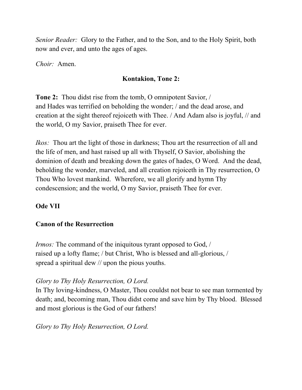*Senior Reader:* Glory to the Father, and to the Son, and to the Holy Spirit, both now and ever, and unto the ages of ages.

*Choir:* Amen.

### **Kontakion, Tone 2:**

**Tone 2:** Thou didst rise from the tomb, O omnipotent Savior, / and Hades was terrified on beholding the wonder; / and the dead arose, and creation at the sight thereof rejoiceth with Thee. / And Adam also is joyful, // and the world, O my Savior, praiseth Thee for ever.

*Ikos:* Thou art the light of those in darkness; Thou art the resurrection of all and the life of men, and hast raised up all with Thyself, O Savior, abolishing the dominion of death and breaking down the gates of hades, O Word. And the dead, beholding the wonder, marveled, and all creation rejoiceth in Thy resurrection, O Thou Who lovest mankind. Wherefore, we all glorify and hymn Thy condescension; and the world, O my Savior, praiseth Thee for ever.

# **Ode VII**

### **Canon of the Resurrection**

*Irmos:* The command of the iniquitous tyrant opposed to God, / raised up a lofty flame; / but Christ, Who is blessed and all-glorious, / spread a spiritual dew // upon the pious youths.

### *Glory to Thy Holy Resurrection, O Lord.*

In Thy loving-kindness, O Master, Thou couldst not bear to see man tormented by death; and, becoming man, Thou didst come and save him by Thy blood. Blessed and most glorious is the God of our fathers!

*Glory to Thy Holy Resurrection, O Lord.*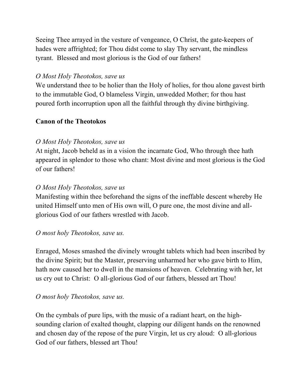Seeing Thee arrayed in the vesture of vengeance, O Christ, the gate-keepers of hades were affrighted; for Thou didst come to slay Thy servant, the mindless tyrant. Blessed and most glorious is the God of our fathers!

#### *O Most Holy Theotokos, save us*

We understand thee to be holier than the Holy of holies, for thou alone gavest birth to the immutable God, O blameless Virgin, unwedded Mother; for thou hast poured forth incorruption upon all the faithful through thy divine birthgiving.

### **Canon of the Theotokos**

### *O Most Holy Theotokos, save us*

At night, Jacob beheld as in a vision the incarnate God, Who through thee hath appeared in splendor to those who chant: Most divine and most glorious is the God of our fathers!

#### *O Most Holy Theotokos, save us*

Manifesting within thee beforehand the signs of the ineffable descent whereby He united Himself unto men of His own will, O pure one, the most divine and allglorious God of our fathers wrestled with Jacob.

### *O most holy Theotokos, save us.*

Enraged, Moses smashed the divinely wrought tablets which had been inscribed by the divine Spirit; but the Master, preserving unharmed her who gave birth to Him, hath now caused her to dwell in the mansions of heaven. Celebrating with her, let us cry out to Christ: O all-glorious God of our fathers, blessed art Thou!

### *O most holy Theotokos, save us.*

On the cymbals of pure lips, with the music of a radiant heart, on the highsounding clarion of exalted thought, clapping our diligent hands on the renowned and chosen day of the repose of the pure Virgin, let us cry aloud: O all-glorious God of our fathers, blessed art Thou!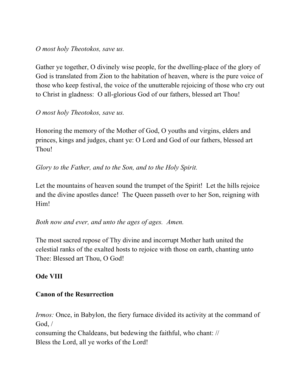*O most holy Theotokos, save us.*

Gather ye together, O divinely wise people, for the dwelling-place of the glory of God is translated from Zion to the habitation of heaven, where is the pure voice of those who keep festival, the voice of the unutterable rejoicing of those who cry out to Christ in gladness: O all-glorious God of our fathers, blessed art Thou!

*O most holy Theotokos, save us.*

Honoring the memory of the Mother of God, O youths and virgins, elders and princes, kings and judges, chant ye: O Lord and God of our fathers, blessed art Thou!

*Glory to the Father, and to the Son, and to the Holy Spirit.*

Let the mountains of heaven sound the trumpet of the Spirit! Let the hills rejoice and the divine apostles dance! The Queen passeth over to her Son, reigning with Him!

*Both now and ever, and unto the ages of ages. Amen.*

The most sacred repose of Thy divine and incorrupt Mother hath united the celestial ranks of the exalted hosts to rejoice with those on earth, chanting unto Thee: Blessed art Thou, O God!

# **Ode VIII**

### **Canon of the Resurrection**

*Irmos:* Once, in Babylon, the fiery furnace divided its activity at the command of  $God. /$ 

consuming the Chaldeans, but bedewing the faithful, who chant: // Bless the Lord, all ye works of the Lord!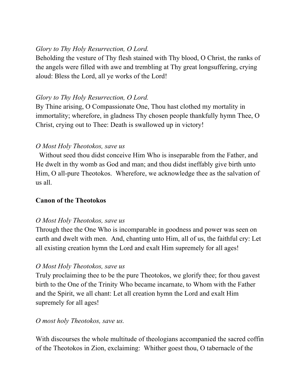### *Glory to Thy Holy Resurrection, O Lord.*

Beholding the vesture of Thy flesh stained with Thy blood, O Christ, the ranks of the angels were filled with awe and trembling at Thy great longsuffering, crying aloud: Bless the Lord, all ye works of the Lord!

### *Glory to Thy Holy Resurrection, O Lord.*

By Thine arising, O Compassionate One, Thou hast clothed my mortality in immortality; wherefore, in gladness Thy chosen people thankfully hymn Thee, O Christ, crying out to Thee: Death is swallowed up in victory!

#### *O Most Holy Theotokos, save us*

 Without seed thou didst conceive Him Who is inseparable from the Father, and He dwelt in thy womb as God and man; and thou didst ineffably give birth unto Him, O all-pure Theotokos. Wherefore, we acknowledge thee as the salvation of us all.

### **Canon of the Theotokos**

#### *O Most Holy Theotokos, save us*

Through thee the One Who is incomparable in goodness and power was seen on earth and dwelt with men. And, chanting unto Him, all of us, the faithful cry: Let all existing creation hymn the Lord and exalt Him supremely for all ages!

### *O Most Holy Theotokos, save us*

Truly proclaiming thee to be the pure Theotokos, we glorify thee; for thou gavest birth to the One of the Trinity Who became incarnate, to Whom with the Father and the Spirit, we all chant: Let all creation hymn the Lord and exalt Him supremely for all ages!

#### *O most holy Theotokos, save us.*

With discourses the whole multitude of theologians accompanied the sacred coffin of the Theotokos in Zion, exclaiming: Whither goest thou, O tabernacle of the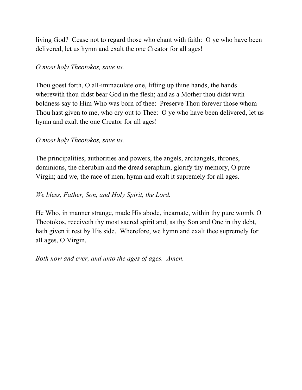living God? Cease not to regard those who chant with faith: O ye who have been delivered, let us hymn and exalt the one Creator for all ages!

#### *O most holy Theotokos, save us.*

Thou goest forth, O all-immaculate one, lifting up thine hands, the hands wherewith thou didst bear God in the flesh; and as a Mother thou didst with boldness say to Him Who was born of thee: Preserve Thou forever those whom Thou hast given to me, who cry out to Thee: O ye who have been delivered, let us hymn and exalt the one Creator for all ages!

#### *O most holy Theotokos, save us.*

The principalities, authorities and powers, the angels, archangels, thrones, dominions, the cherubim and the dread seraphim, glorify thy memory, O pure Virgin; and we, the race of men, hymn and exalt it supremely for all ages.

### *We bless, Father, Son, and Holy Spirit, the Lord.*

He Who, in manner strange, made His abode, incarnate, within thy pure womb, O Theotokos, receiveth thy most sacred spirit and, as thy Son and One in thy debt, hath given it rest by His side. Wherefore, we hymn and exalt thee supremely for all ages, O Virgin.

*Both now and ever, and unto the ages of ages. Amen.*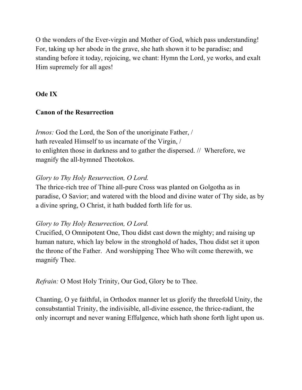O the wonders of the Ever-virgin and Mother of God, which pass understanding! For, taking up her abode in the grave, she hath shown it to be paradise; and standing before it today, rejoicing, we chant: Hymn the Lord, ye works, and exalt Him supremely for all ages!

### **Ode IX**

### **Canon of the Resurrection**

*Irmos:* God the Lord, the Son of the unoriginate Father, / hath revealed Himself to us incarnate of the Virgin, / to enlighten those in darkness and to gather the dispersed. // Wherefore, we magnify the all-hymned Theotokos.

### *Glory to Thy Holy Resurrection, O Lord.*

The thrice-rich tree of Thine all-pure Cross was planted on Golgotha as in paradise, O Savior; and watered with the blood and divine water of Thy side, as by a divine spring, O Christ, it hath budded forth life for us.

### *Glory to Thy Holy Resurrection, O Lord.*

Crucified, O Omnipotent One, Thou didst cast down the mighty; and raising up human nature, which lay below in the stronghold of hades, Thou didst set it upon the throne of the Father. And worshipping Thee Who wilt come therewith, we magnify Thee.

*Refrain:* O Most Holy Trinity, Our God, Glory be to Thee.

Chanting, O ye faithful, in Orthodox manner let us glorify the threefold Unity, the consubstantial Trinity, the indivisible, all-divine essence, the thrice-radiant, the only incorrupt and never waning Effulgence, which hath shone forth light upon us.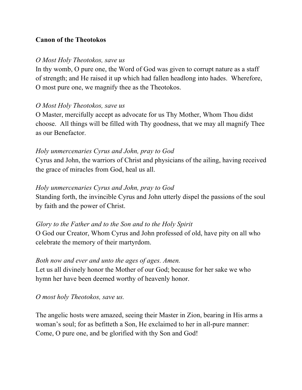#### **Canon of the Theotokos**

#### *O Most Holy Theotokos, save us*

In thy womb, O pure one, the Word of God was given to corrupt nature as a staff of strength; and He raised it up which had fallen headlong into hades. Wherefore, O most pure one, we magnify thee as the Theotokos.

#### *O Most Holy Theotokos, save us*

O Master, mercifully accept as advocate for us Thy Mother, Whom Thou didst choose. All things will be filled with Thy goodness, that we may all magnify Thee as our Benefactor.

#### *Holy unmercenaries Cyrus and John, pray to God*

Cyrus and John, the warriors of Christ and physicians of the ailing, having received the grace of miracles from God, heal us all.

#### *Holy unmercenaries Cyrus and John, pray to God*

Standing forth, the invincible Cyrus and John utterly dispel the passions of the soul by faith and the power of Christ.

#### *Glory to the Father and to the Son and to the Holy Spirit*

O God our Creator, Whom Cyrus and John professed of old, have pity on all who celebrate the memory of their martyrdom.

#### *Both now and ever and unto the ages of ages. Amen.*

Let us all divinely honor the Mother of our God; because for her sake we who hymn her have been deemed worthy of heavenly honor.

#### *O most holy Theotokos, save us.*

The angelic hosts were amazed, seeing their Master in Zion, bearing in His arms a woman's soul; for as befitteth a Son, He exclaimed to her in all-pure manner: Come, O pure one, and be glorified with thy Son and God!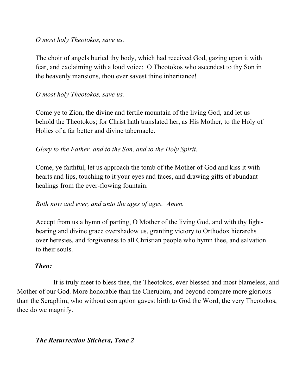#### *O most holy Theotokos, save us.*

The choir of angels buried thy body, which had received God, gazing upon it with fear, and exclaiming with a loud voice: O Theotokos who ascendest to thy Son in the heavenly mansions, thou ever savest thine inheritance!

#### *O most holy Theotokos, save us.*

Come ye to Zion, the divine and fertile mountain of the living God, and let us behold the Theotokos; for Christ hath translated her, as His Mother, to the Holy of Holies of a far better and divine tabernacle.

#### *Glory to the Father, and to the Son, and to the Holy Spirit.*

Come, ye faithful, let us approach the tomb of the Mother of God and kiss it with hearts and lips, touching to it your eyes and faces, and drawing gifts of abundant healings from the ever-flowing fountain.

#### *Both now and ever, and unto the ages of ages. Amen.*

Accept from us a hymn of parting, O Mother of the living God, and with thy lightbearing and divine grace overshadow us, granting victory to Orthodox hierarchs over heresies, and forgiveness to all Christian people who hymn thee, and salvation to their souls.

#### *Then:*

It is truly meet to bless thee, the Theotokos, ever blessed and most blameless, and Mother of our God. More honorable than the Cherubim, and beyond compare more glorious than the Seraphim, who without corruption gavest birth to God the Word, the very Theotokos, thee do we magnify.

### *The Resurrection Stichera, Tone 2*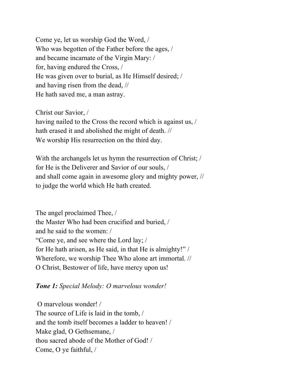Come ye, let us worship God the Word, / Who was begotten of the Father before the ages, / and became incarnate of the Virgin Mary: / for, having endured the Cross, / He was given over to burial, as He Himself desired; / and having risen from the dead, // He hath saved me, a man astray.

Christ our Savior, /

having nailed to the Cross the record which is against us, / hath erased it and abolished the might of death. // We worship His resurrection on the third day.

With the archangels let us hymn the resurrection of Christ; / for He is the Deliverer and Savior of our souls, / and shall come again in awesome glory and mighty power, // to judge the world which He hath created.

The angel proclaimed Thee, / the Master Who had been crucified and buried, / and he said to the women: / "Come ye, and see where the Lord lay; / for He hath arisen, as He said, in that He is almighty!" / Wherefore, we worship Thee Who alone art immortal. // O Christ, Bestower of life, have mercy upon us!

### *Tone 1: Special Melody: O marvelous wonder!*

O marvelous wonder! / The source of Life is laid in the tomb, / and the tomb itself becomes a ladder to heaven! / Make glad, O Gethsemane, / thou sacred abode of the Mother of God! / Come, O ye faithful, /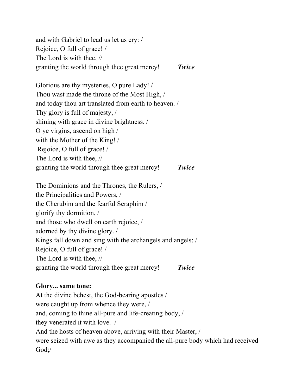and with Gabriel to lead us let us cry: / Rejoice, O full of grace! / The Lord is with thee, // granting the world through thee great mercy! *Twice*

Glorious are thy mysteries, O pure Lady! / Thou wast made the throne of the Most High, / and today thou art translated from earth to heaven. / Thy glory is full of majesty, / shining with grace in divine brightness. / O ye virgins, ascend on high / with the Mother of the King! / Rejoice, O full of grace! / The Lord is with thee, // granting the world through thee great mercy! *Twice*

The Dominions and the Thrones, the Rulers, / the Principalities and Powers, / the Cherubim and the fearful Seraphim / glorify thy dormition, / and those who dwell on earth rejoice, / adorned by thy divine glory. / Kings fall down and sing with the archangels and angels: / Rejoice, O full of grace! / The Lord is with thee, // granting the world through thee great mercy! *Twice*

### **Glory... same tone:**

At the divine behest, the God-bearing apostles / were caught up from whence they were, / and, coming to thine all-pure and life-creating body, / they venerated it with love. / And the hosts of heaven above, arriving with their Master, / were seized with awe as they accompanied the all-pure body which had received God;/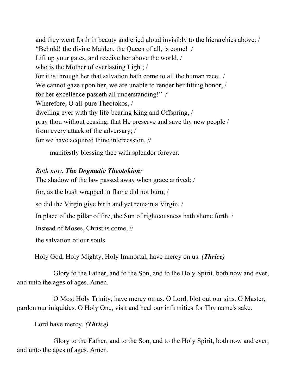and they went forth in beauty and cried aloud invisibly to the hierarchies above: / "Behold! the divine Maiden, the Queen of all, is come! / Lift up your gates, and receive her above the world, / who is the Mother of everlasting Light; / for it is through her that salvation hath come to all the human race. / We cannot gaze upon her, we are unable to render her fitting honor; / for her excellence passeth all understanding!" / Wherefore, O all-pure Theotokos, / dwelling ever with thy life-bearing King and Offspring, / pray thou without ceasing, that He preserve and save thy new people / from every attack of the adversary; / for we have acquired thine intercession, //

manifestly blessing thee with splendor forever.

#### *Both now. The Dogmatic Theotokion:*

The shadow of the law passed away when grace arrived; /

for, as the bush wrapped in flame did not burn, /

so did the Virgin give birth and yet remain a Virgin. /

In place of the pillar of fire, the Sun of righteousness hath shone forth. /

Instead of Moses, Christ is come, //

the salvation of our souls.

Holy God, Holy Mighty, Holy Immortal, have mercy on us. *(Thrice)* 

Glory to the Father, and to the Son, and to the Holy Spirit, both now and ever, and unto the ages of ages. Amen.

O Most Holy Trinity, have mercy on us. O Lord, blot out our sins. O Master, pardon our iniquities. O Holy One, visit and heal our infirmities for Thy name's sake.

#### Lord have mercy. *(Thrice)*

Glory to the Father, and to the Son, and to the Holy Spirit, both now and ever, and unto the ages of ages. Amen.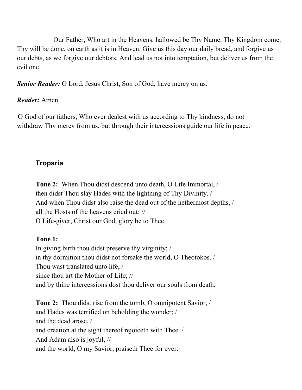Our Father, Who art in the Heavens, hallowed be Thy Name. Thy Kingdom come, Thy will be done, on earth as it is in Heaven. Give us this day our daily bread, and forgive us our debts, as we forgive our debtors. And lead us not into temptation, but deliver us from the evil one.

*Senior Reader: O Lord, Jesus Christ, Son of God, have mercy on us.* 

### *Reader:* Amen.

O God of our fathers, Who ever dealest with us according to Thy kindness, do not withdraw Thy mercy from us, but through their intercessions guide our life in peace.

# **Troparia**

**Tone 2:** When Thou didst descend unto death, O Life Immortal, / then didst Thou slay Hades with the lightning of Thy Divinity. / And when Thou didst also raise the dead out of the nethermost depths, / all the Hosts of the heavens cried out: // O Life-giver, Christ our God, glory be to Thee.

### **Tone 1:**

In giving birth thou didst preserve thy virginity; / in thy dormition thou didst not forsake the world, O Theotokos. / Thou wast translated unto life, / since thou art the Mother of Life; // and by thine intercessions dost thou deliver our souls from death.

**Tone 2:** Thou didst rise from the tomb, O omnipotent Savior, / and Hades was terrified on beholding the wonder; / and the dead arose, / and creation at the sight thereof rejoiceth with Thee. / And Adam also is joyful, // and the world, O my Savior, praiseth Thee for ever.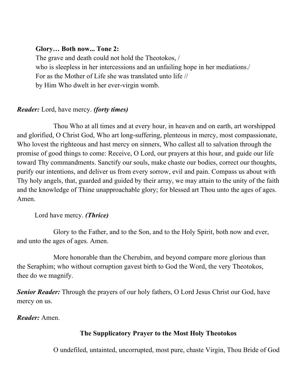#### **Glory… Both now... Tone 2:**

The grave and death could not hold the Theotokos, / who is sleepless in her intercessions and an unfailing hope in her mediations./ For as the Mother of Life she was translated unto life // by Him Who dwelt in her ever-virgin womb.

### *Reader:* Lord, have mercy. *(forty times)*

Thou Who at all times and at every hour, in heaven and on earth, art worshipped and glorified, O Christ God, Who art long-suffering, plenteous in mercy, most compassionate, Who lovest the righteous and hast mercy on sinners, Who callest all to salvation through the promise of good things to come: Receive, O Lord, our prayers at this hour, and guide our life toward Thy commandments. Sanctify our souls, make chaste our bodies, correct our thoughts, purify our intentions, and deliver us from every sorrow, evil and pain. Compass us about with Thy holy angels, that, guarded and guided by their array, we may attain to the unity of the faith and the knowledge of Thine unapproachable glory; for blessed art Thou unto the ages of ages. Amen.

### Lord have mercy. *(Thrice)*

Glory to the Father, and to the Son, and to the Holy Spirit, both now and ever, and unto the ages of ages. Amen.

More honorable than the Cherubim, and beyond compare more glorious than the Seraphim; who without corruption gavest birth to God the Word, the very Theotokos, thee do we magnify.

**Senior Reader:** Through the prayers of our holy fathers, O Lord Jesus Christ our God, have mercy on us.

#### *Reader:* Amen.

# **The Supplicatory Prayer to the Most Holy Theotokos**

O undefiled, untainted, uncorrupted, most pure, chaste Virgin, Thou Bride of God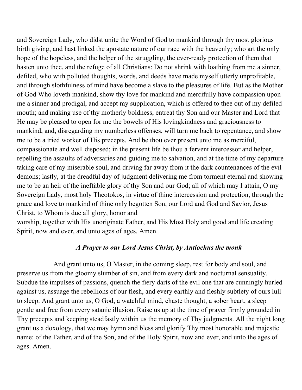and Sovereign Lady, who didst unite the Word of God to mankind through thy most glorious birth giving, and hast linked the apostate nature of our race with the heavenly; who art the only hope of the hopeless, and the helper of the struggling, the ever-ready protection of them that hasten unto thee, and the refuge of all Christians: Do not shrink with loathing from me a sinner, defiled, who with polluted thoughts, words, and deeds have made myself utterly unprofitable, and through slothfulness of mind have become a slave to the pleasures of life. But as the Mother of God Who loveth mankind, show thy love for mankind and mercifully have compassion upon me a sinner and prodigal, and accept my supplication, which is offered to thee out of my defiled mouth; and making use of thy motherly boldness, entreat thy Son and our Master and Lord that He may be pleased to open for me the bowels of His lovingkindness and graciousness to mankind, and, disregarding my numberless offenses, will turn me back to repentance, and show me to be a tried worker of His precepts. And be thou ever present unto me as merciful, compassionate and well disposed; in the present life be thou a fervent intercessor and helper, repelling the assaults of adversaries and guiding me to salvation, and at the time of my departure taking care of my miserable soul, and driving far away from it the dark countenances of the evil demons; lastly, at the dreadful day of judgment delivering me from torment eternal and showing me to be an heir of the ineffable glory of thy Son and our God; all of which may I attain, O my Sovereign Lady, most holy Theotokos, in virtue of thine intercession and protection, through the grace and love to mankind of thine only begotten Son, our Lord and God and Savior, Jesus Christ, to Whom is due all glory, honor and

worship, together with His unoriginate Father, and His Most Holy and good and life creating Spirit, now and ever, and unto ages of ages. Amen.

#### *A Prayer to our Lord Jesus Christ, by Antiochus the monk*

And grant unto us, O Master, in the coming sleep, rest for body and soul, and preserve us from the gloomy slumber of sin, and from every dark and nocturnal sensuality. Subdue the impulses of passions, quench the fiery darts of the evil one that are cunningly hurled against us, assuage the rebellions of our flesh, and every earthly and fleshly subtlety of ours lull to sleep. And grant unto us, O God, a watchful mind, chaste thought, a sober heart, a sleep gentle and free from every satanic illusion. Raise us up at the time of prayer firmly grounded in Thy precepts and keeping steadfastly within us the memory of Thy judgments. All the night long grant us a doxology, that we may hymn and bless and glorify Thy most honorable and majestic name: of the Father, and of the Son, and of the Holy Spirit, now and ever, and unto the ages of ages. Amen.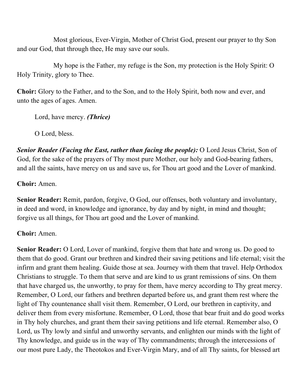Most glorious, Ever-Virgin, Mother of Christ God, present our prayer to thy Son and our God, that through thee, He may save our souls.

My hope is the Father, my refuge is the Son, my protection is the Holy Spirit: O Holy Trinity, glory to Thee.

**Choir:** Glory to the Father, and to the Son, and to the Holy Spirit, both now and ever, and unto the ages of ages. Amen.

Lord, have mercy. *(Thrice)* 

O Lord, bless.

*Senior Reader (Facing the East, rather than facing the people):* O Lord Jesus Christ, Son of God, for the sake of the prayers of Thy most pure Mother, our holy and God-bearing fathers, and all the saints, have mercy on us and save us, for Thou art good and the Lover of mankind.

**Choir:** Amen.

**Senior Reader:** Remit, pardon, forgive, O God, our offenses, both voluntary and involuntary, in deed and word, in knowledge and ignorance, by day and by night, in mind and thought; forgive us all things, for Thou art good and the Lover of mankind.

### **Choir:** Amen.

**Senior Reader:** O Lord, Lover of mankind, forgive them that hate and wrong us. Do good to them that do good. Grant our brethren and kindred their saving petitions and life eternal; visit the infirm and grant them healing. Guide those at sea. Journey with them that travel. Help Orthodox Christians to struggle. To them that serve and are kind to us grant remissions of sins. On them that have charged us, the unworthy, to pray for them, have mercy according to Thy great mercy. Remember, O Lord, our fathers and brethren departed before us, and grant them rest where the light of Thy countenance shall visit them. Remember, O Lord, our brethren in captivity, and deliver them from every misfortune. Remember, O Lord, those that bear fruit and do good works in Thy holy churches, and grant them their saving petitions and life eternal. Remember also, O Lord, us Thy lowly and sinful and unworthy servants, and enlighten our minds with the light of Thy knowledge, and guide us in the way of Thy commandments; through the intercessions of our most pure Lady, the Theotokos and Ever-Virgin Mary, and of all Thy saints, for blessed art